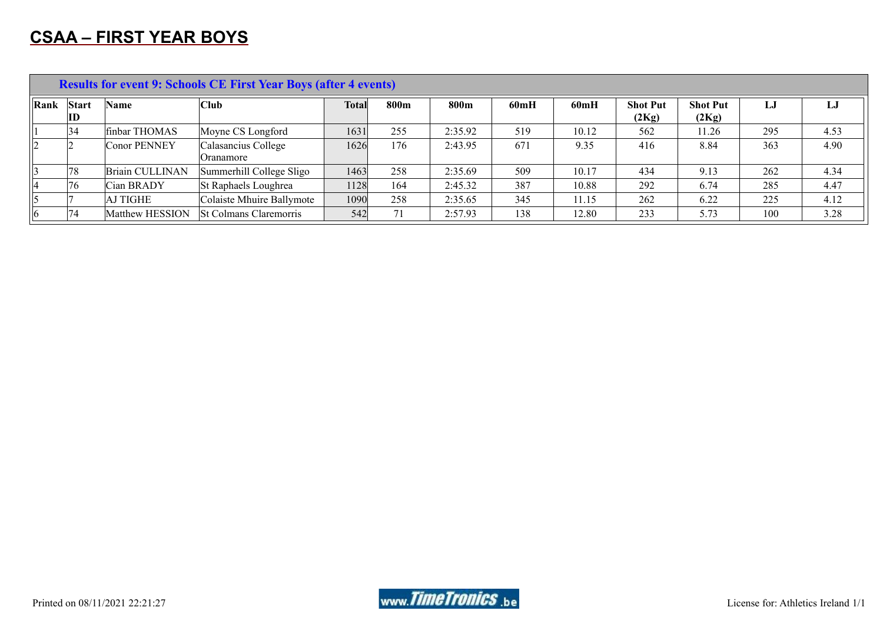# **CSAA – FIRST YEAR BOYS**

|                |                    |                 | <b>Results for event 9: Schools CE First Year Boys (after 4 events)</b> |              |      |         |      |       |                          |                          |     |      |
|----------------|--------------------|-----------------|-------------------------------------------------------------------------|--------------|------|---------|------|-------|--------------------------|--------------------------|-----|------|
| Rank           | <b>Start</b><br>ID | <b>Name</b>     | Club                                                                    | <b>Total</b> | 800m | 800m    | 60mH | 60mH  | <b>Shot Put</b><br>(2Kg) | <b>Shot Put</b><br>(2Kg) | LJ  | LJ   |
|                | 34                 | finbar THOMAS   | Moyne CS Longford                                                       | 1631         | 255  | 2:35.92 | 519  | 10.12 | 562                      | 11.26                    | 295 | 4.53 |
| 2              |                    | Conor PENNEY    | Calasancius College<br>Oranamore                                        | 1626         | 176  | 2:43.95 | 671  | 9.35  | 416                      | 8.84                     | 363 | 4.90 |
|                | 78                 | Briain CULLINAN | Summerhill College Sligo                                                | 1463         | 258  | 2:35.69 | 509  | 10.17 | 434                      | 9.13                     | 262 | 4.34 |
| 14             | '76                | Cian BRADY      | St Raphaels Loughrea                                                    | 1128         | 164  | 2:45.32 | 387  | 10.88 | 292                      | 6.74                     | 285 | 4.47 |
| $\vert$ 5      |                    | AJ TIGHE        | Colaiste Mhuire Ballymote                                               | 1090         | 258  | 2:35.65 | 345  | 11.15 | 262                      | 6.22                     | 225 | 4.12 |
| $\vert\vert 6$ | 74                 | Matthew HESSION | <b>St Colmans Claremorris</b>                                           | 542          |      | 2:57.93 | 138  | 12.80 | 233                      | 5.73                     | 100 | 3.28 |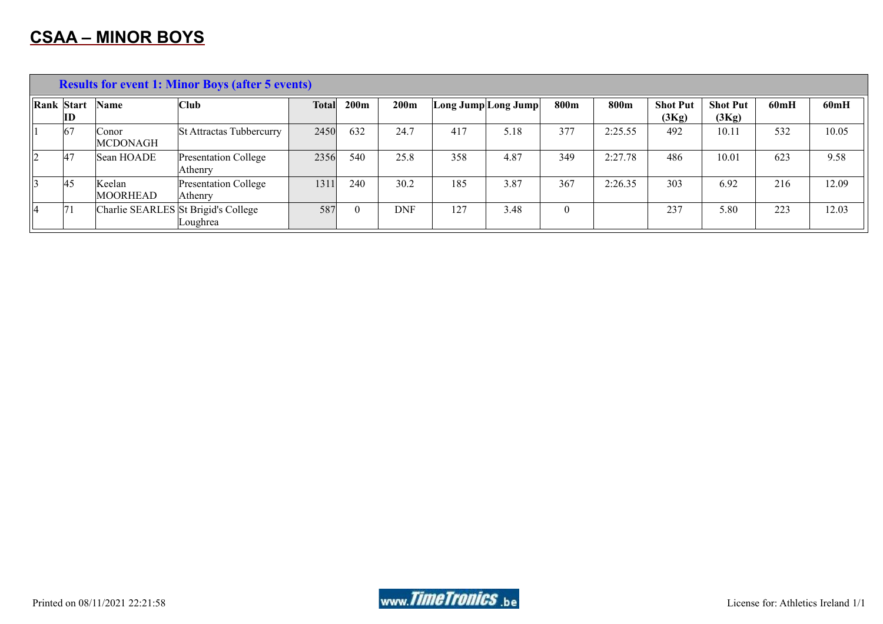|           | <b>Results for event 1: Minor Boys (after 5 events)</b> |                          |                                                 |              |          |            |     |                                          |      |         |                          |                          |      |       |
|-----------|---------------------------------------------------------|--------------------------|-------------------------------------------------|--------------|----------|------------|-----|------------------------------------------|------|---------|--------------------------|--------------------------|------|-------|
|           | <b>Rank Start</b><br>ID                                 | Name                     | Club                                            | <b>Total</b> | 200m     | 200m       |     | $\textsf{Long Jump} \textsf{Long Jump} $ | 800m | 800m    | <b>Shot Put</b><br>(3Kg) | <b>Shot Put</b><br>(3Kg) | 60mH | 60mH  |
|           | 67                                                      | Conor<br><b>MCDONAGH</b> | St Attractas Tubbercurry                        | 2450         | 632      | 24.7       | 417 | 5.18                                     | 377  | 2:25.55 | 492                      | 10.11                    | 532  | 10.05 |
| 2         | 47                                                      | Sean HOADE               | Presentation College<br>Athenry                 | 2356         | 540      | 25.8       | 358 | 4.87                                     | 349  | 2:27.78 | 486                      | 10.01                    | 623  | 9.58  |
| $\vert$ 3 | 45                                                      | Keelan<br>MOORHEAD       | Presentation College<br>Athenry                 | 1311         | 240      | 30.2       | 185 | 3.87                                     | 367  | 2:26.35 | 303                      | 6.92                     | 216  | 12.09 |
| 14        | 71                                                      |                          | Charlie SEARLES St Brigid's College<br>Loughrea | 587          | $\Omega$ | <b>DNF</b> | 127 | 3.48                                     | 0    |         | 237                      | 5.80                     | 223  | 12.03 |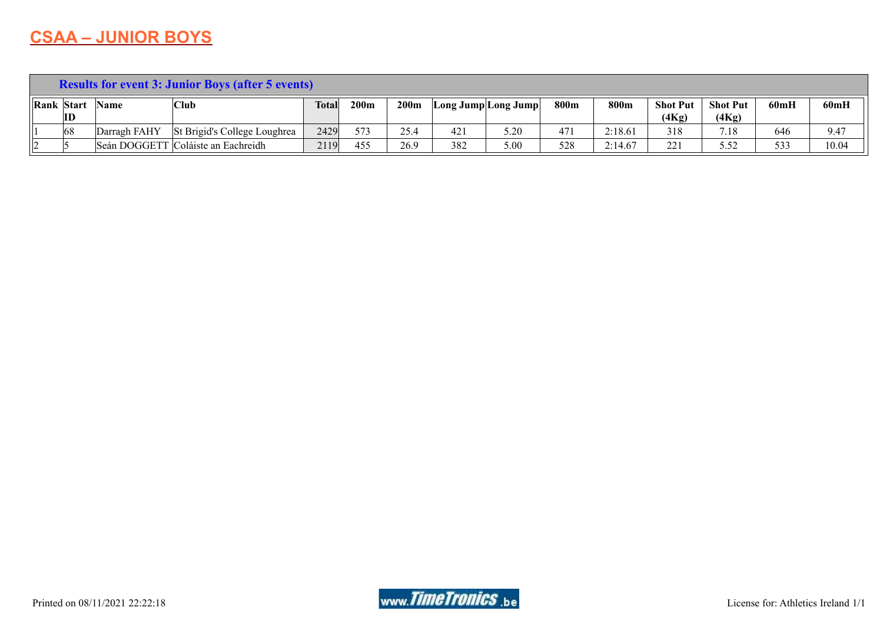## **CSAA – JUNIOR BOYS**

|   | <b>Results for event 3: Junior Boys (after 5 events)</b> |              |                                    |              |                  |      |     |                                                   |      |         |                          |                          |      |       |
|---|----------------------------------------------------------|--------------|------------------------------------|--------------|------------------|------|-----|---------------------------------------------------|------|---------|--------------------------|--------------------------|------|-------|
|   | <b>Rank Start</b><br>ID                                  | Name         | 'Club                              | <b>Total</b> | 200 <sub>m</sub> | 200m |     | $\lfloor$ Long Jump $\lfloor$ Long Jump $\rfloor$ | 800m | 800m    | <b>Shot Put</b><br>(4Kg) | <b>Shot Put</b><br>(4Kg) | 60mH | 60mH  |
|   | 68                                                       | Darragh FAHY | St Brigid's College Loughrea       | 2429         | 573              | 25.4 | 421 | 5.20                                              | 471  | 2:18.61 | 318                      | 7.18                     | 646  | 9.47  |
| ı |                                                          |              | Seán DOGGETT Coláiste an Eachreidh | 2119         | 455              | 26.9 | 382 | 5.00                                              | 528  | 2:14.67 | 221                      | 5.52                     | 533  | 10.04 |

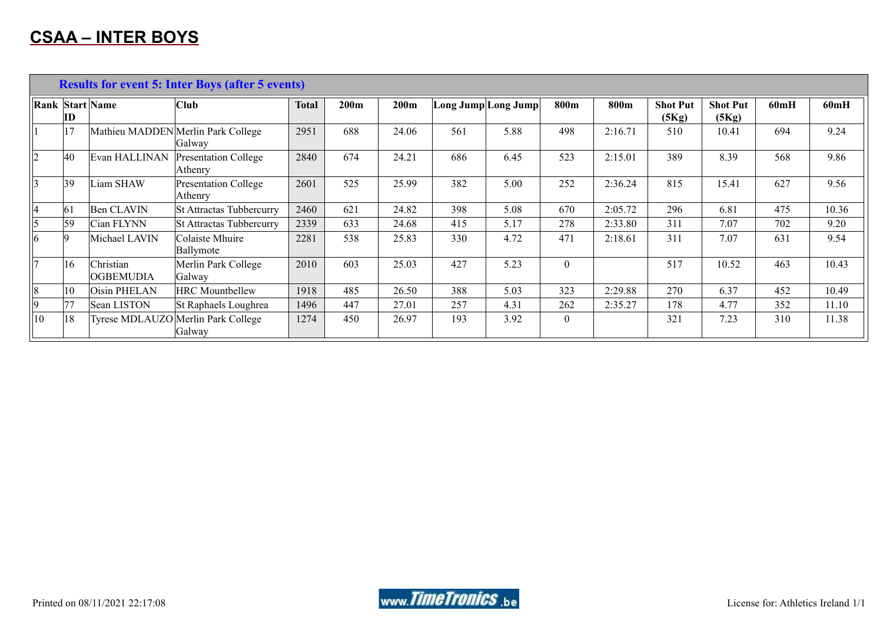|             | <b>Results for event 5: Inter Boys (after 5 events)</b> |                        |                                              |              |      |       |     |                     |                  |         |                          |                          |      |       |
|-------------|---------------------------------------------------------|------------------------|----------------------------------------------|--------------|------|-------|-----|---------------------|------------------|---------|--------------------------|--------------------------|------|-------|
|             | ID                                                      | <b>Rank Start Name</b> | <b>Club</b>                                  | <b>Total</b> | 200m | 200m  |     | Long Jump Long Jump | 800m             | 800m    | <b>Shot Put</b><br>(5Kg) | <b>Shot Put</b><br>(5Kg) | 60mH | 60mH  |
|             | 17                                                      |                        | Mathieu MADDEN Merlin Park College<br>Galway | 2951         | 688  | 24.06 | 561 | 5.88                | 498              | 2:16.71 | 510                      | 10.41                    | 694  | 9.24  |
| $ 2\rangle$ | $ 40\rangle$                                            | Evan HALLINAN          | <b>Presentation College</b><br>Athenry       | 2840         | 674  | 24.21 | 686 | 6.45                | 523              | 2:15.01 | 389                      | 8.39                     | 568  | 9.86  |
|             | 39                                                      | Liam SHAW              | <b>Presentation College</b><br>Athenry       | 2601         | 525  | 25.99 | 382 | 5.00                | 252              | 2:36.24 | 815                      | 15.41                    | 627  | 9.56  |
| 14          | 61                                                      | <b>Ben CLAVIN</b>      | St Attractas Tubbercurry                     | 2460         | 621  | 24.82 | 398 | 5.08                | 670              | 2:05.72 | 296                      | 6.81                     | 475  | 10.36 |
| 5           | 59                                                      | Cian FLYNN             | <b>St Attractas Tubbercurry</b>              | 2339         | 633  | 24.68 | 415 | 5.17                | 278              | 2:33.80 | 311                      | 7.07                     | 702  | 9.20  |
| 6           | <b>9</b>                                                | Michael LAVIN          | Colaiste Mhuire<br>Ballymote                 | 2281         | 538  | 25.83 | 330 | 4.72                | 471              | 2:18.61 | 311                      | 7.07                     | 631  | 9.54  |
|             | 16                                                      | Christian<br>OGBEMUDIA | Merlin Park College<br>Galway                | 2010         | 603  | 25.03 | 427 | 5.23                | $\boldsymbol{0}$ |         | 517                      | 10.52                    | 463  | 10.43 |
| 8           | 10                                                      | Oisin PHELAN           | <b>HRC</b> Mountbellew                       | 1918         | 485  | 26.50 | 388 | 5.03                | 323              | 2:29.88 | 270                      | 6.37                     | 452  | 10.49 |
| 9           | 77                                                      | Sean LISTON            | St Raphaels Loughrea                         | 1496         | 447  | 27.01 | 257 | 4.31                | 262              | 2:35.27 | 178                      | 4.77                     | 352  | 11.10 |
| 10          | 18                                                      |                        | Tyrese MDLAUZO Merlin Park College<br>Galway | 1274         | 450  | 26.97 | 193 | 3.92                | $\theta$         |         | 321                      | 7.23                     | 310  | 11.38 |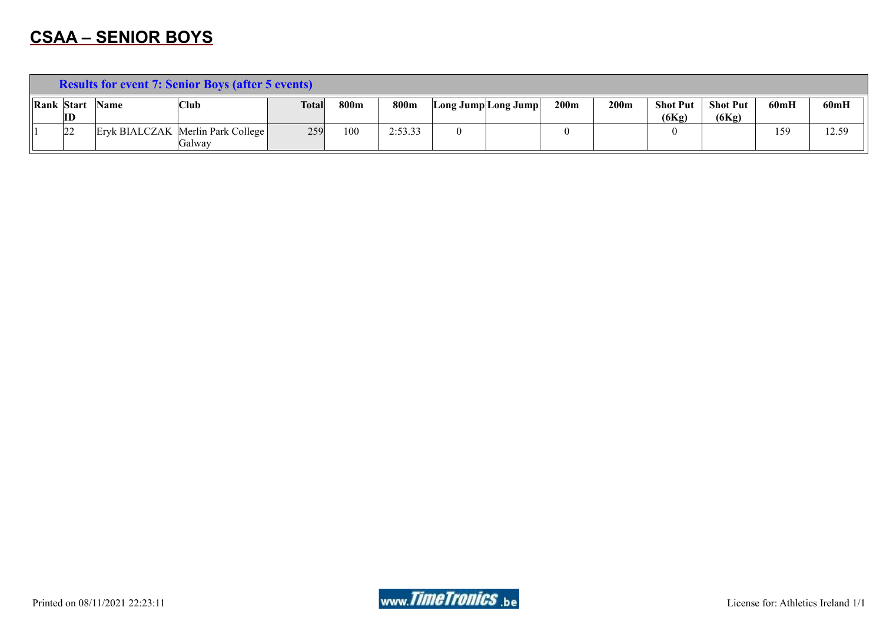## **CSAA – SENIOR BOYS**

|              | <b>Results for event 7: Senior Boys (after 5 events)</b> |             |                                             |              |      |         |                     |  |      |      |                     |                          |      |       |
|--------------|----------------------------------------------------------|-------------|---------------------------------------------|--------------|------|---------|---------------------|--|------|------|---------------------|--------------------------|------|-------|
| Rank   Start | ID                                                       | <b>Name</b> | 'Club                                       | <b>Total</b> | 800m | 800m    | Long Jump Long Jump |  | 200m | 200m | Shot Put 1<br>(6Kg) | <b>Shot Put</b><br>(6Kg) | 60mH | 60mH  |
|              | 22                                                       |             | Eryk BIALCZAK Merlin Park College<br>Galwav | 259          | 100  | 2:53.33 |                     |  |      |      |                     |                          | 159  | 12.59 |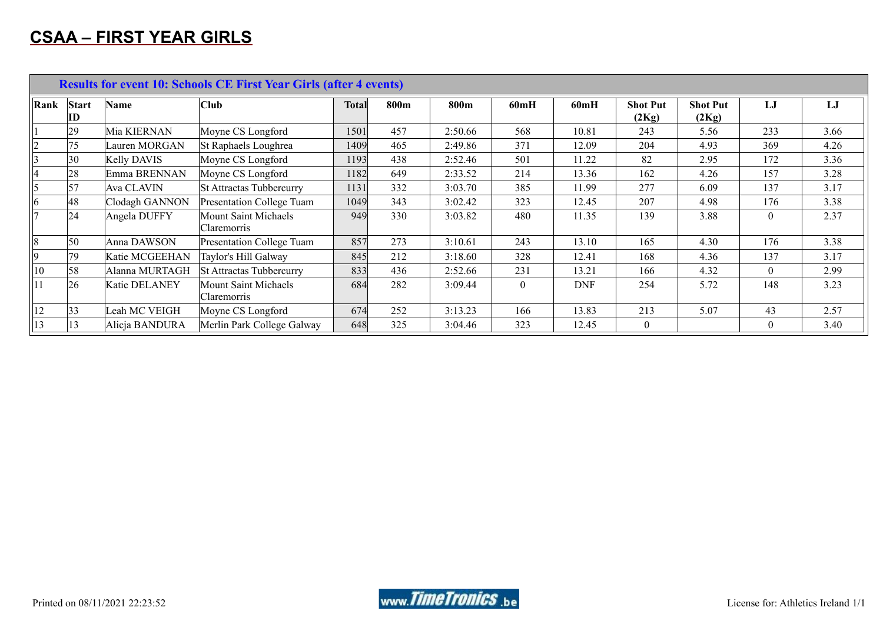## **CSAA – FIRST YEAR GIRLS**

|                 | <b>Results for event 10: Schools CE First Year Girls (after 4 events)</b> |                    |                                                   |              |      |         |          |            |                          |                          |                |      |  |  |
|-----------------|---------------------------------------------------------------------------|--------------------|---------------------------------------------------|--------------|------|---------|----------|------------|--------------------------|--------------------------|----------------|------|--|--|
| Rank            | <b>Start</b><br>ID                                                        | Name               | <b>Club</b>                                       | <b>Total</b> | 800m | 800m    | 60mH     | 60mH       | <b>Shot Put</b><br>(2Kg) | <b>Shot Put</b><br>(2Kg) | LJ             | LJ   |  |  |
|                 | 29                                                                        | Mia KIERNAN        | Moyne CS Longford                                 | 1501         | 457  | 2:50.66 | 568      | 10.81      | 243                      | 5.56                     | 233            | 3.66 |  |  |
| $ 2\rangle$     | 75                                                                        | Lauren MORGAN      | St Raphaels Loughrea                              | 1409         | 465  | 2:49.86 | 371      | 12.09      | 204                      | 4.93                     | 369            | 4.26 |  |  |
| $\vert$ 3       | 30                                                                        | <b>Kelly DAVIS</b> | Moyne CS Longford                                 | 1193         | 438  | 2:52.46 | 501      | 11.22      | 82                       | 2.95                     | 172            | 3.36 |  |  |
| 14              | 28                                                                        | Emma BRENNAN       | Moyne CS Longford                                 | 1182         | 649  | 2:33.52 | 214      | 13.36      | 162                      | 4.26                     | 157            | 3.28 |  |  |
| 5               | 57                                                                        | Ava CLAVIN         | St Attractas Tubbercurry                          | 1131         | 332  | 3:03.70 | 385      | 11.99      | 277                      | 6.09                     | 137            | 3.17 |  |  |
| $ 6\rangle$     | 48                                                                        | Clodagh GANNON     | Presentation College Tuam                         | 1049         | 343  | 3:02.42 | 323      | 12.45      | 207                      | 4.98                     | 176            | 3.38 |  |  |
|                 | 24                                                                        | Angela DUFFY       | <b>Mount Saint Michaels</b><br><i>Claremorris</i> | 949          | 330  | 3:03.82 | 480      | 11.35      | 139                      | 3.88                     | $\overline{0}$ | 2.37 |  |  |
| $\vert 8 \vert$ | 50                                                                        | Anna DAWSON        | Presentation College Tuam                         | 857          | 273  | 3:10.61 | 243      | 13.10      | 165                      | 4.30                     | 176            | 3.38 |  |  |
| 9               | 79                                                                        | Katie MCGEEHAN     | Taylor's Hill Galway                              | 845          | 212  | 3:18.60 | 328      | 12.41      | 168                      | 4.36                     | 137            | 3.17 |  |  |
| $ 10\rangle$    | 58                                                                        | Alanna MURTAGH     | <b>St Attractas Tubbercurry</b>                   | 833          | 436  | 2:52.66 | 231      | 13.21      | 166                      | 4.32                     | $\theta$       | 2.99 |  |  |
|                 | 26                                                                        | Katie DELANEY      | <b>Mount Saint Michaels</b><br>Claremorris        | 684          | 282  | 3:09.44 | $\theta$ | <b>DNF</b> | 254                      | 5.72                     | 148            | 3.23 |  |  |
| 12              | 33                                                                        | Leah MC VEIGH      | Moyne CS Longford                                 | 674          | 252  | 3:13.23 | 166      | 13.83      | 213                      | 5.07                     | 43             | 2.57 |  |  |
| $ 13\rangle$    | 13                                                                        | Alicja BANDURA     | Merlin Park College Galway                        | 648          | 325  | 3:04.46 | 323      | 12.45      | $\overline{0}$           |                          | $\mathbf{0}$   | 3.40 |  |  |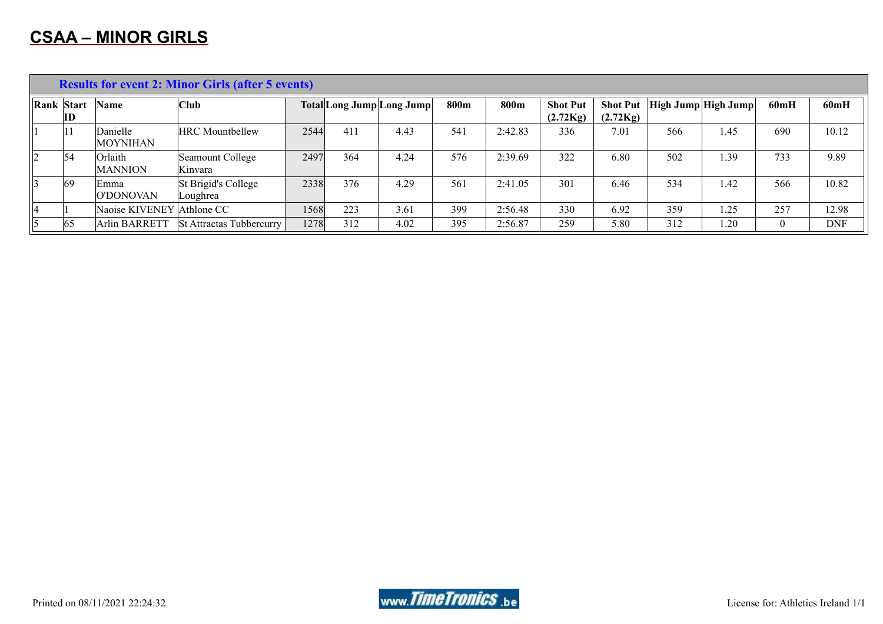|    | <b>Results for event 2: Minor Girls (after 5 events)</b> |                             |                                 |      |     |                           |      |         |                             |                             |     |                     |                |            |  |
|----|----------------------------------------------------------|-----------------------------|---------------------------------|------|-----|---------------------------|------|---------|-----------------------------|-----------------------------|-----|---------------------|----------------|------------|--|
|    | Rank Start<br>$\mathbf{ID}$                              | Name                        | Club                            |      |     | Total Long Jump Long Jump | 800m | 800m    | <b>Shot Put</b><br>(2.72Kg) | <b>Shot Put</b><br>(2.72Kg) |     | High Jump High Jump | 60mH           | 60mH       |  |
|    | 11                                                       | Danielle<br><b>MOYNIHAN</b> | <b>HRC</b> Mountbellew          | 2544 | 411 | 4.43                      | 541  | 2:42.83 | 336                         | 7.01                        | 566 | 1.45                | 690            | 10.12      |  |
|    | 54                                                       | Orlaith<br><b>MANNION</b>   | Seamount College<br>Kinvara     | 2497 | 364 | 4.24                      | 576  | 2:39.69 | 322                         | 6.80                        | 502 | 1.39                | 733            | 9.89       |  |
|    | 69                                                       | Emma<br>O'DONOVAN           | St Brigid's College<br>Loughrea | 2338 | 376 | 4.29                      | 561  | 2:41.05 | 301                         | 6.46                        | 534 | 1.42                | 566            | 10.82      |  |
| 14 |                                                          | Naoise KIVENEY Athlone CC   |                                 | 1568 | 223 | 3.61                      | 399  | 2:56.48 | 330                         | 6.92                        | 359 | 1.25                | 257            | 12.98      |  |
|    | 65                                                       | Arlin BARRETT               | <b>St Attractas Tubbercurry</b> | 1278 | 312 | 4.02                      | 395  | 2:56.87 | 259                         | 5.80                        | 312 | 1.20                | $\overline{0}$ | <b>DNF</b> |  |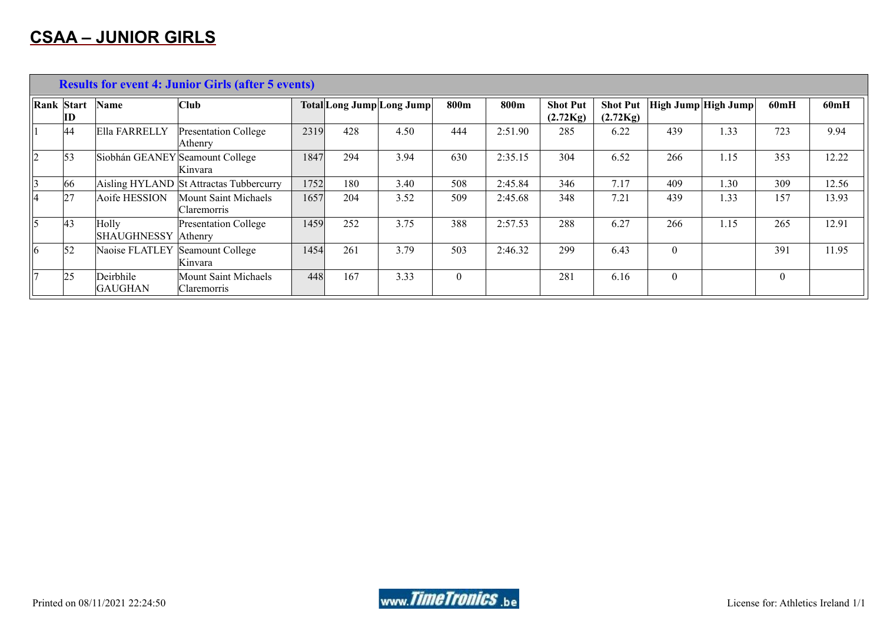|             | <b>Results for event 4: Junior Girls (after 5 events)</b> |                              |                                            |      |     |                           |                  |         |                             |                             |          |                            |                  |       |
|-------------|-----------------------------------------------------------|------------------------------|--------------------------------------------|------|-----|---------------------------|------------------|---------|-----------------------------|-----------------------------|----------|----------------------------|------------------|-------|
| Rank Start  | $\mathbf{ID}$                                             | Name                         | <b>Club</b>                                |      |     | Total Long Jump Long Jump | 800m             | 800m    | <b>Shot Put</b><br>(2.72Kg) | <b>Shot Put</b><br>(2.72Kg) |          | <b>High Jump High Jump</b> | 60mH             | 60mH  |
|             | 44                                                        | Ella FARRELLY                | Presentation College<br>Athenry            | 2319 | 428 | 4.50                      | 444              | 2:51.90 | 285                         | 6.22                        | 439      | 1.33                       | 723              | 9.94  |
| $ 2\rangle$ | 53                                                        |                              | Siobhán GEANEY Seamount College<br>Kinvara | 1847 | 294 | 3.94                      | 630              | 2:35.15 | 304                         | 6.52                        | 266      | 1.15                       | 353              | 12.22 |
| 3           | 66                                                        |                              | Aisling HYLAND St Attractas Tubbercurry    | 1752 | 180 | 3.40                      | 508              | 2:45.84 | 346                         | 7.17                        | 409      | 1.30                       | 309              | 12.56 |
| 14          | 27                                                        | Aoife HESSION                | Mount Saint Michaels<br>Claremorris        | 1657 | 204 | 3.52                      | 509              | 2:45.68 | 348                         | 7.21                        | 439      | 1.33                       | 157              | 13.93 |
| 15          | 43                                                        | Holly<br>SHAUGHNESSY Athenry | <b>Presentation College</b>                | 1459 | 252 | 3.75                      | 388              | 2:57.53 | 288                         | 6.27                        | 266      | 1.15                       | 265              | 12.91 |
| $ 6\rangle$ | $\vert$ 52                                                | Naoise FLATLEY               | Seamount College<br>Kinvara                | 1454 | 261 | 3.79                      | 503              | 2:46.32 | 299                         | 6.43                        | $\Omega$ |                            | 391              | 11.95 |
|             | 25                                                        | Deirbhile<br><b>GAUGHAN</b>  | Mount Saint Michaels<br>Claremorris        | 448  | 167 | 3.33                      | $\boldsymbol{0}$ |         | 281                         | 6.16                        | $\theta$ |                            | $\boldsymbol{0}$ |       |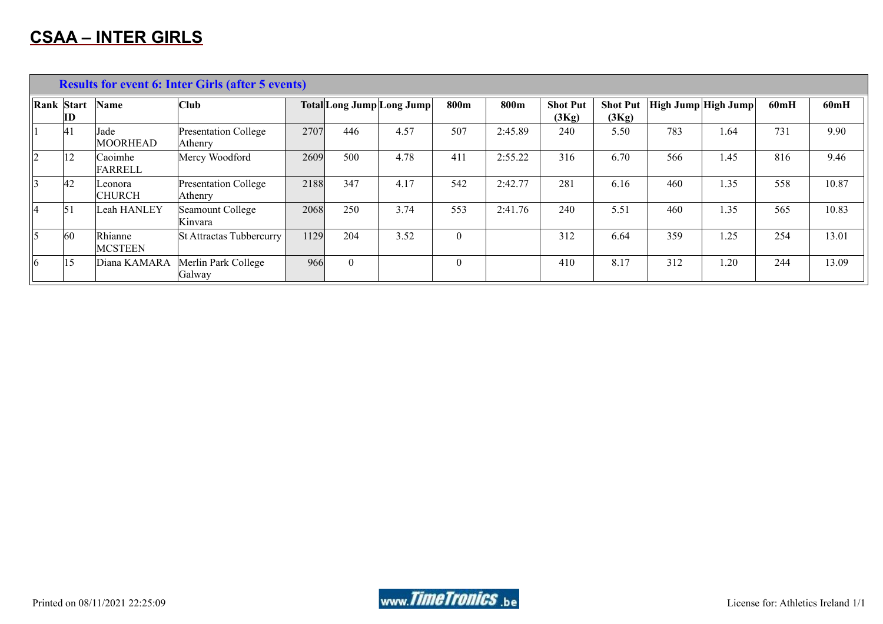|             |                  |                           | <b>Results for event 6: Inter Girls (after 5 events)</b> |      |          |                           |          |         |                          |                          |                            |      |      |       |
|-------------|------------------|---------------------------|----------------------------------------------------------|------|----------|---------------------------|----------|---------|--------------------------|--------------------------|----------------------------|------|------|-------|
|             | Rank Start<br>ID | <b>Name</b>               | Club                                                     |      |          | Total Long Jump Long Jump | 800m     | 800m    | <b>Shot Put</b><br>(3Kg) | <b>Shot Put</b><br>(3Kg) | <b>High Jump High Jump</b> |      | 60mH | 60mH  |
|             | 41               | Jade<br><b>MOORHEAD</b>   | Presentation College<br>Athenry                          | 2707 | 446      | 4.57                      | 507      | 2:45.89 | 240                      | 5.50                     | 783                        | 1.64 | 731  | 9.90  |
| $ 2\rangle$ | 12               | Caoimhe<br>FARRELL        | Mercy Woodford                                           | 2609 | 500      | 4.78                      | 411      | 2:55.22 | 316                      | 6.70                     | 566                        | 1.45 | 816  | 9.46  |
|             | 42               | Leonora<br><b>CHURCH</b>  | Presentation College<br>Athenry                          | 2188 | 347      | 4.17                      | 542      | 2:42.77 | 281                      | 6.16                     | 460                        | 1.35 | 558  | 10.87 |
| 14          | $\vert 5 \vert$  | Leah HANLEY               | Seamount College<br>Kinvara                              | 2068 | 250      | 3.74                      | 553      | 2:41.76 | 240                      | 5.51                     | 460                        | 1.35 | 565  | 10.83 |
| 5           | 60               | Rhianne<br><b>MCSTEEN</b> | <b>St Attractas Tubbercurry</b>                          | 1129 | 204      | 3.52                      | $\theta$ |         | 312                      | 6.64                     | 359                        | 1.25 | 254  | 13.01 |
| $ 6\rangle$ | 15               | Diana KAMARA              | Merlin Park College<br>Galway                            | 966  | $\theta$ |                           | $\theta$ |         | 410                      | 8.17                     | 312                        | 1.20 | 244  | 13.09 |